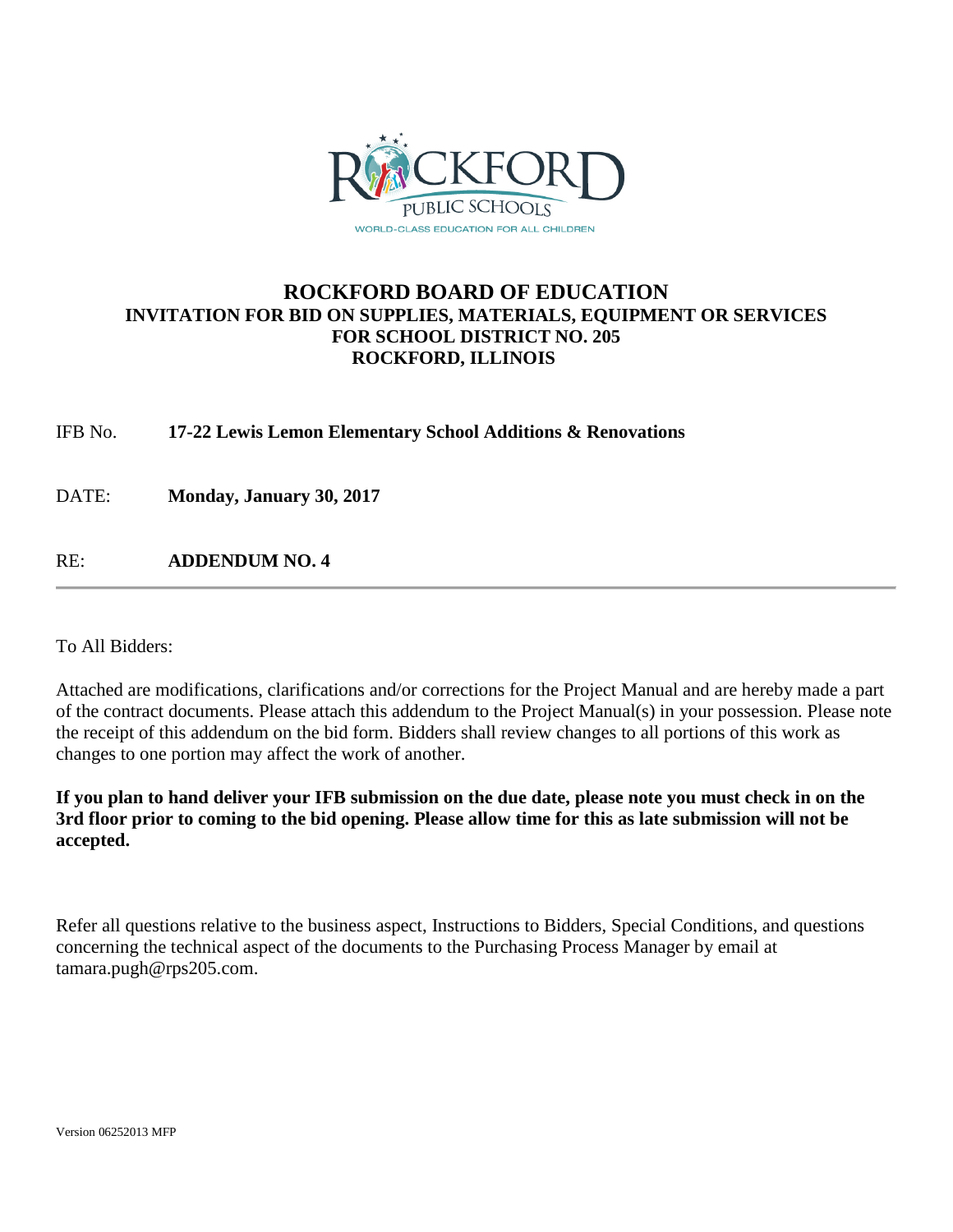

### **ROCKFORD BOARD OF EDUCATION INVITATION FOR BID ON SUPPLIES, MATERIALS, EQUIPMENT OR SERVICES FOR SCHOOL DISTRICT NO. 205 ROCKFORD, ILLINOIS**

IFB No. **17-22 Lewis Lemon Elementary School Additions & Renovations**

DATE: **Monday, January 30, 2017**

RE: **ADDENDUM NO. 4**

To All Bidders:

Attached are modifications, clarifications and/or corrections for the Project Manual and are hereby made a part of the contract documents. Please attach this addendum to the Project Manual(s) in your possession. Please note the receipt of this addendum on the bid form. Bidders shall review changes to all portions of this work as changes to one portion may affect the work of another.

**If you plan to hand deliver your IFB submission on the due date, please note you must check in on the 3rd floor prior to coming to the bid opening. Please allow time for this as late submission will not be accepted.**

Refer all questions relative to the business aspect, Instructions to Bidders, Special Conditions, and questions concerning the technical aspect of the documents to the Purchasing Process Manager by email at tamara.pugh@rps205.com.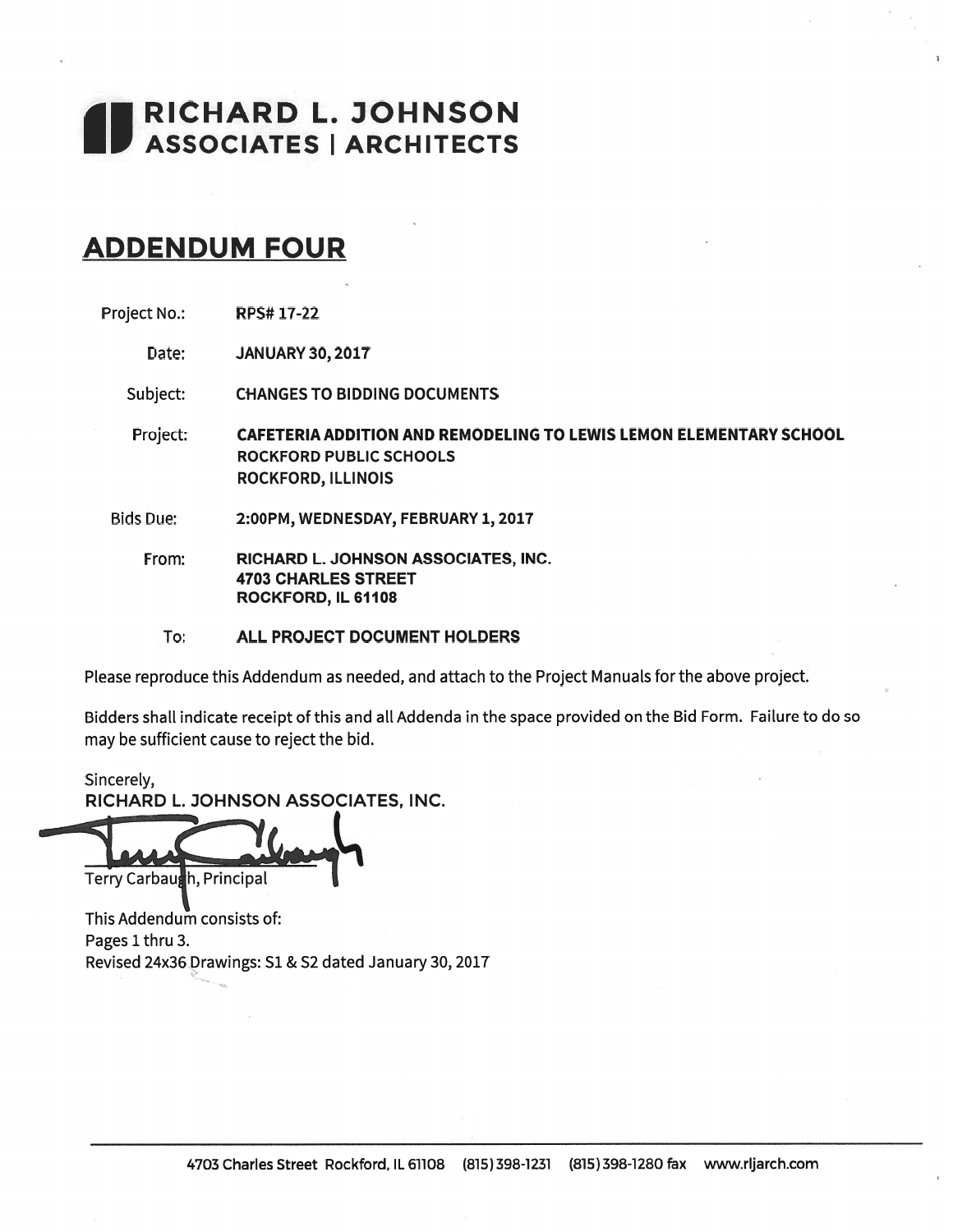# RICHARD L. JOHNSON<br>ASSOCIATES | ARCHITECTS

## **ADDENDUM FOUR**

Project No.: **RPS#17-22** 

> Date: **JANUARY 30, 2017**

Subject: **CHANGES TO BIDDING DOCUMENTS** 

- **CAFETERIA ADDITION AND REMODELING TO LEWIS LEMON ELEMENTARY SCHOOL** Project: **ROCKFORD PUBLIC SCHOOLS ROCKFORD, ILLINOIS**
- **Bids Due:** 2:00PM, WEDNESDAY, FEBRUARY 1, 2017

RICHARD L. JOHNSON ASSOCIATES, INC. From: **4703 CHARLES STREET** ROCKFORD, IL 61108

ALL PROJECT DOCUMENT HOLDERS To:

Please reproduce this Addendum as needed, and attach to the Project Manuals for the above project.

Bidders shall indicate receipt of this and all Addenda in the space provided on the Bid Form. Failure to do so may be sufficient cause to reject the bid.

Sincerely, RICHARD L. JOHNSON ASSOCIATES, INC.

Terry Carbaush, Principal

This Addendum consists of: Pages 1 thru 3. Revised 24x36 Drawings: S1 & S2 dated January 30, 2017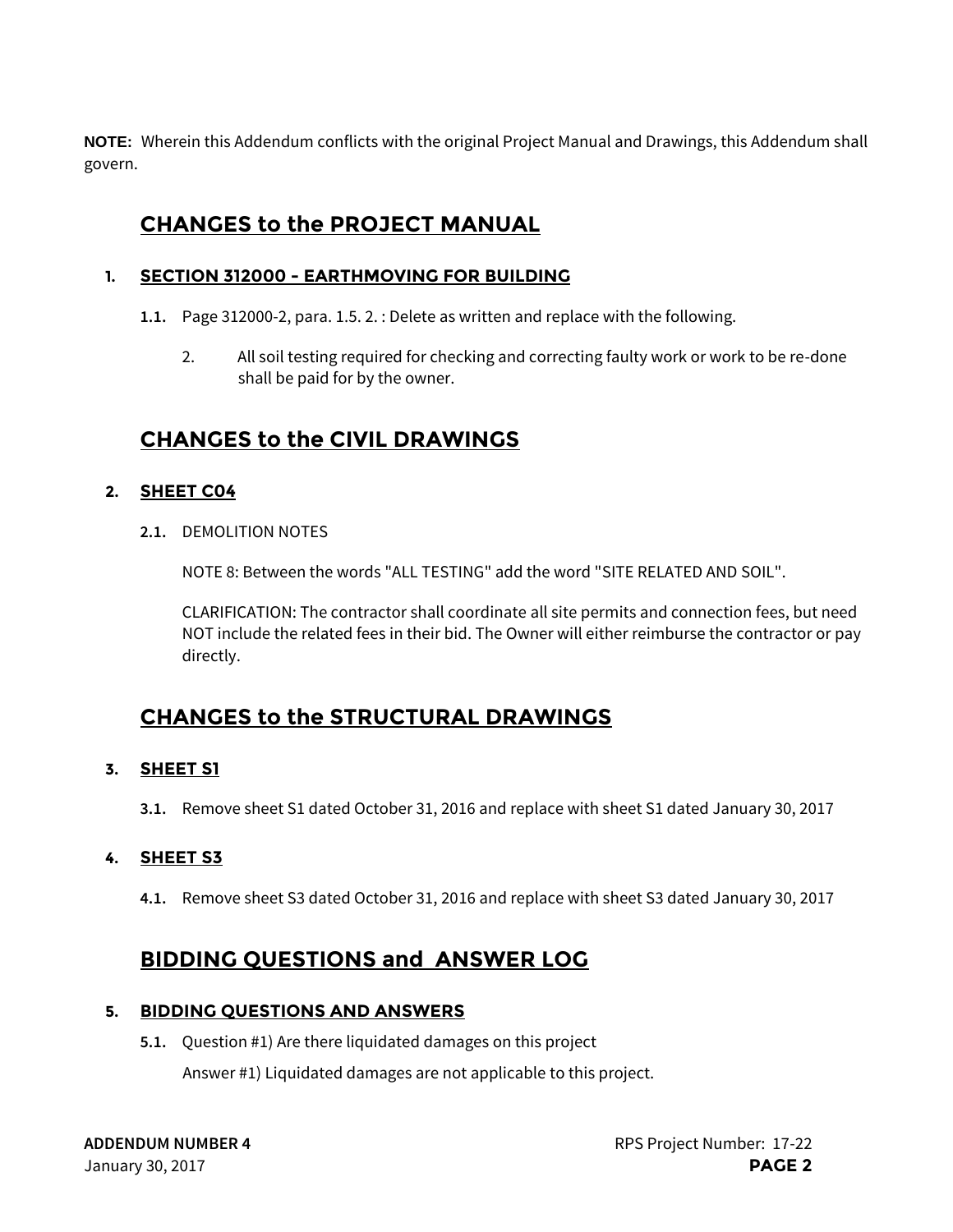**NOTE:** Wherein this Addendum conflicts with the original Project Manual and Drawings, this Addendum shall govern.

## **CHANGES to the PROJECT MANUAL**

#### **1. SECTION 312000 - EARTHMOVING FOR BUILDING**

- **1.1.** Page 312000-2, para. 1.5. 2. : Delete as written and replace with the following.
	- 2. All soil testing required for checking and correcting faulty work or work to be re-done shall be paid for by the owner.

## **CHANGES to the CIVIL DRAWINGS**

#### **2. SHEET C04**

**2.1.** DEMOLITION NOTES

NOTE 8: Between the words "ALL TESTING" add the word "SITE RELATED AND SOIL".

CLARIFICATION: The contractor shall coordinate all site permits and connection fees, but need NOT include the related fees in their bid. The Owner will either reimburse the contractor or pay directly.

## **CHANGES to the STRUCTURAL DRAWINGS**

#### **3. SHEET S1**

**3.1.** Remove sheet S1 dated October 31, 2016 and replace with sheet S1 dated January 30, 2017

#### **4. SHEET S3**

**4.1.** Remove sheet S3 dated October 31, 2016 and replace with sheet S3 dated January 30, 2017

## **BIDDING QUESTIONS and ANSWER LOG**

#### **5. BIDDING QUESTIONS AND ANSWERS**

**5.1.** Question #1) Are there liquidated damages on this project

Answer #1) Liquidated damages are not applicable to this project.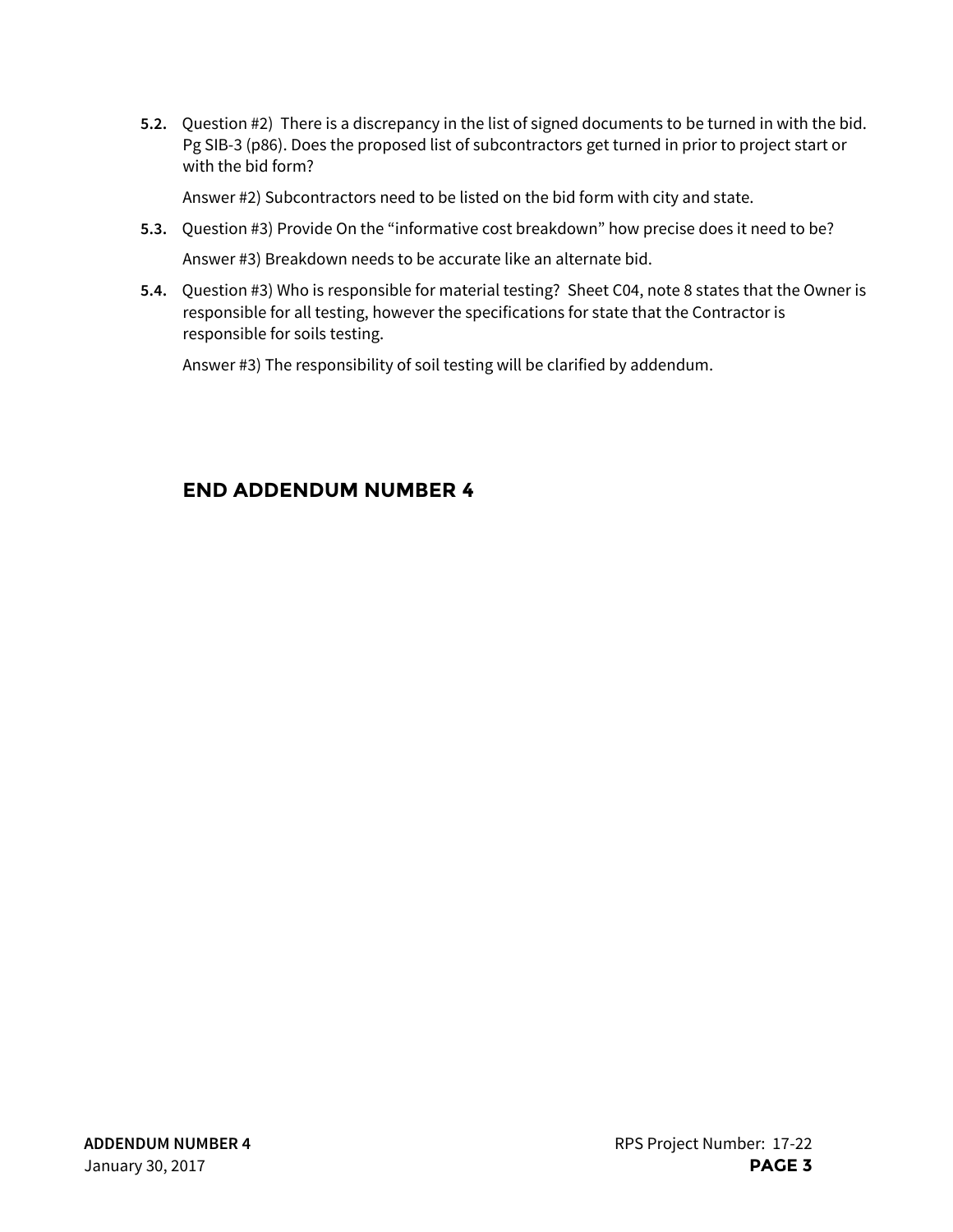**5.2.** Question #2) There is a discrepancy in the list of signed documents to be turned in with the bid. Pg SIB-3 (p86). Does the proposed list of subcontractors get turned in prior to project start or with the bid form?

Answer #2) Subcontractors need to be listed on the bid form with city and state.

- **5.3.** Question #3) Provide On the "informative cost breakdown" how precise does it need to be? Answer #3) Breakdown needs to be accurate like an alternate bid.
- **5.4.** Question #3) Who is responsible for material testing? Sheet C04, note 8 states that the Owner is responsible for all testing, however the specifications for state that the Contractor is responsible for soils testing.

Answer #3) The responsibility of soil testing will be clarified by addendum.

## **END ADDENDUM NUMBER 4**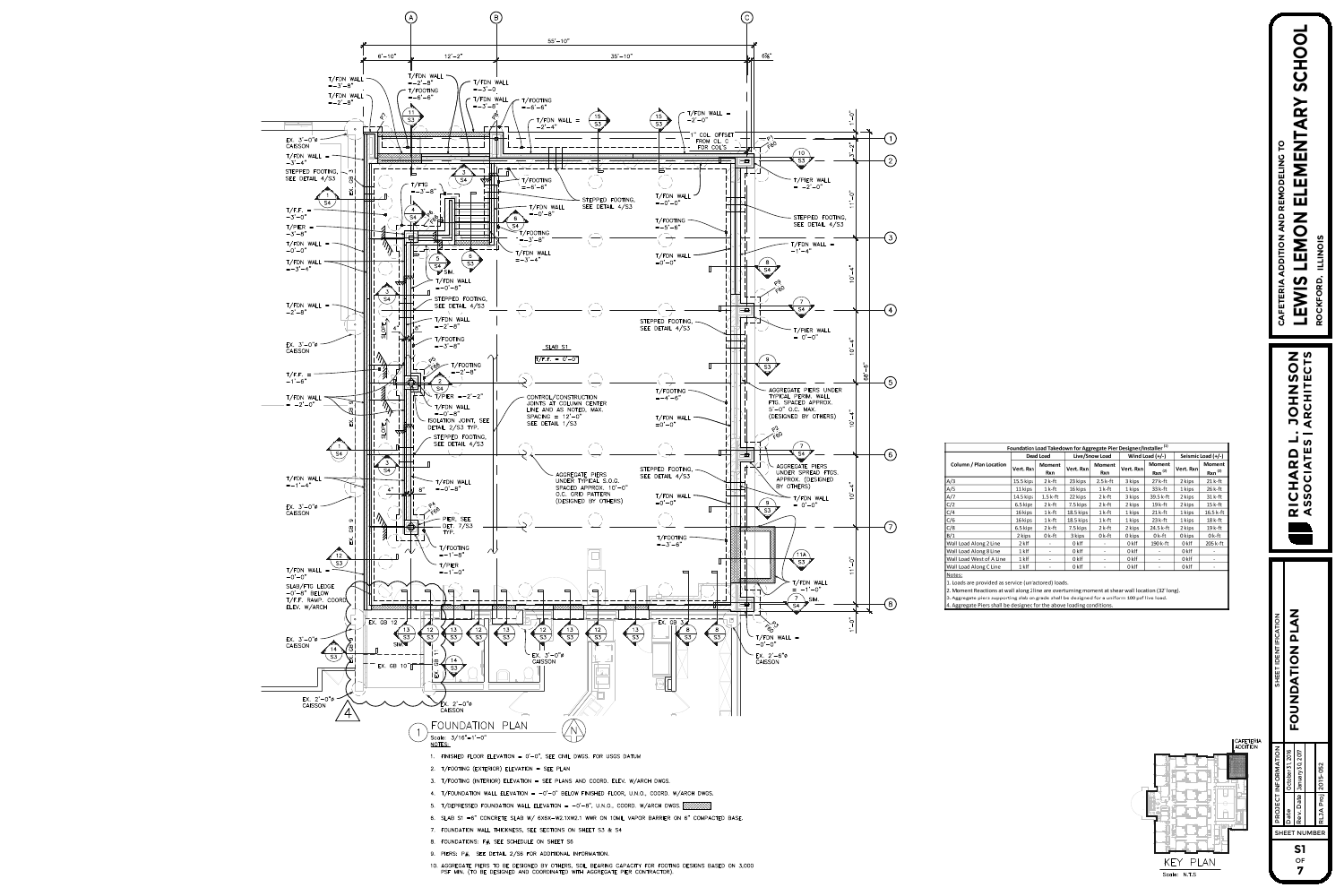

| Foundation Load Takedown for Aggregate Pier Designer/Installer <sup>(1)</sup> |                  |                          |                |                          |                   |                              |                    |                              |
|-------------------------------------------------------------------------------|------------------|--------------------------|----------------|--------------------------|-------------------|------------------------------|--------------------|------------------------------|
| <b>Column / Plan Location</b>                                                 | <b>Dead Load</b> |                          | Live/Snow Load |                          | Wind Load $(+/-)$ |                              | Seismic Load (+/-) |                              |
|                                                                               | Vert. Rxn        | <b>Moment</b><br>Rxn     | Vert. Rxn      | <b>Moment</b><br>Rxn     | Vert. Rxn         | <b>Moment</b><br>$Rxn^{(2)}$ | Vert. Rxn          | <b>Moment</b><br>$Rxn^{(2)}$ |
| A/3                                                                           | 15.5 kips        | $2k$ -ft                 | 23 kips        | $2.5$ k-ft               | 3 kips            | $27k$ -ft                    | 2 kips             | 21 k-ft                      |
| A/5                                                                           | 11 kips          | $1$ k-ft                 | 16 kips        | $1k$ -ft                 | 1 kips            | 33 k-ft                      | 1 kips             | 26 k-ft                      |
| A/7                                                                           | 14.5 kips        | $1.5k$ -ft               | 22 kips        | $2k$ -ft                 | 3 kips            | 39.5 k-ft                    | 2 kips             | 31 k-ft                      |
| C/2                                                                           | 6.5 kips         | $2k$ -ft                 | 7.5 kips       | $2k$ -ft                 | 2 kips            | $19k$ -ft                    | 2 kips             | 15 k-ft                      |
| C/4                                                                           | 16 kips          | $1k$ -ft                 | 18.5 kips      | $1k$ -ft                 | 1 kips            | $21k$ -ft                    | 1 kips             | 16.5 k-ft                    |
| C/6                                                                           | 16 kips          | $1$ k-ft                 | 18.5 kips      | $1$ k-ft                 | 1 kips            | $23k$ -ft                    | 1 kips             | $18k$ -ft                    |
| C/8                                                                           | 6.5 kips         | $2k$ -ft                 | 7.5 kips       | $2k$ -ft                 | 2 kips            | 24.5 k-ft                    | 2 kips             | 19 k-ft                      |
| B/1                                                                           | 2 kips           | 0 k-ft                   | 3 kips         | $0k$ -ft                 | 0 kips            | $0k$ -ft                     | 0 kips             | 0 k-ft                       |
| Wall Load Along 2 Line                                                        | 2 klf            | $\overline{\phantom{a}}$ | 0 klf          | $\overline{\phantom{a}}$ | 0 klf             | 190 k-ft                     | 0 <sub>klf</sub>   | 205 k-ft                     |
| Wall Load Along 8 Line                                                        | $1$ klf          | $\overline{\phantom{a}}$ | 0 klf          | $\overline{\phantom{a}}$ | 0 klf             | $\overline{\phantom{a}}$     | 0 <sub>klf</sub>   |                              |
| Wall Load West of A Line                                                      | 1 klf            |                          | 0 klf          | $\blacksquare$           | 0 klf             |                              | 0 <sub>klf</sub>   |                              |

Wall Load Along C Line Notes:

1. Loads are provided as service (unfactored) loads.

2. Moment Reactions at wall along 2 line are overturning moment at shear wall location (32' long).

 $0$  klf  $\vert$ 

 $\sim 100$  km s  $^{-1}$ 

 $0$  klf  $\vert$ 

 $\mathcal{L}^{\text{max}}_{\text{max}}$ 

3. Aggregate piers supporting slab on grade shall be designed for a uniform 100 psf live load.

 $\sim 10^{-10}$ 

4. Aggregate Piers shall be designed for the above loading conditions.

1 klf |



EWIS AFETERIA **ROCKFORD**  $\Box$ JOHNSON  $\overline{\phantom{a}}$  $\bullet$   $\rule{0.2cm}{0.15mm}$  $\overline{\phantom{0}}$   $\alpha$ **RD**<br>ATE RICHAI<br>ASSOCIA

EMODI  $\alpha$  $\mathsf{Z}_{\mathsf{O}}$ AND **NOITIO**  $\Omega$ 

SCHOOI

 $\mathbf{\Sigma}$ 

 $\blacktriangleleft$ 

ELEMENT

EM

 $\mathbf{I}$ 

**ILLINOIS** 

 $\overline{C}$ 

ELING